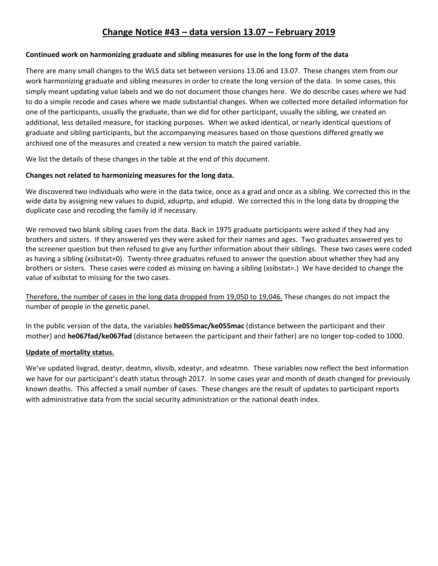## **Change Notice #43 – data version 13.07 – February 2019**

## **Continued work on harmonizing graduate and sibling measures for use in the long form of the data**

There are many small changes to the WLS data set between versions 13.06 and 13.07. These changes stem from our work harmonizing graduate and sibling measures in order to create the long version of the data. In some cases, this simply meant updating value labels and we do not document those changes here. We do describe cases where we had to do a simple recode and cases where we made substantial changes. When we collected more detailed information for one of the participants, usually the graduate, than we did for other participant, usually the sibling, we created an additional, less detailed measure, for stacking purposes. When we asked identical, or nearly identical questions of graduate and sibling participants, but the accompanying measures based on those questions differed greatly we archived one of the measures and created a new version to match the paired variable.

We list the details of these changes in the table at the end of this document.

## **Changes not related to harmonizing measures for the long data.**

We discovered two individuals who were in the data twice, once as a grad and once as a sibling. We corrected this in the wide data by assigning new values to dupid, xduprtp, and xdupid. We corrected this in the long data by dropping the duplicate case and recoding the family id if necessary.

We removed two blank sibling cases from the data. Back in 1975 graduate participants were asked if they had any brothers and sisters. If they answered yes they were asked for their names and ages. Two graduates answered yes to the screener question but then refused to give any further information about their siblings. These two cases were coded as having a sibling (xsibstat=0). Twenty-three graduates refused to answer the question about whether they had any brothers or sisters. These cases were coded as missing on having a sibling (xsibstat=.) We have decided to change the value of xsibstat to missing for the two cases.

Therefore, the number of cases in the long data dropped from 19,050 to 19,046. These changes do not impact the number of people in the genetic panel.

In the public version of the data, the variables **he055mac/ke055mac** (distance between the participant and their mother) and **he067fad/ke067fad** (distance between the participant and their father) are no longer top-coded to 1000.

## **Update of mortality status.**

We've updated livgrad, deatyr, deatmn, xlivsib, xdeatyr, and xdeatmn. These variables now reflect the best information we have for our participant's death status through 2017. In some cases year and month of death changed for previously known deaths. This affected a small number of cases. These changes are the result of updates to participant reports with administrative data from the social security administration or the national death index.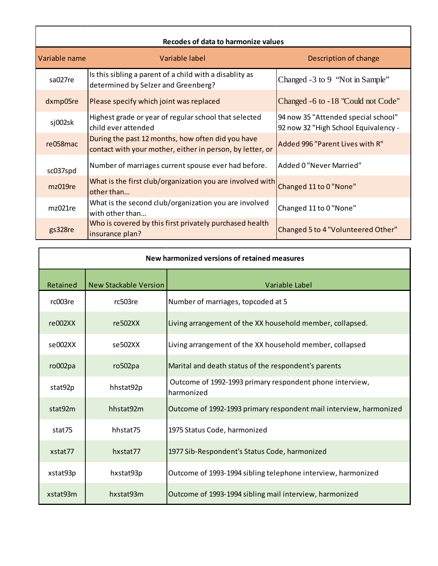| Recodes of data to harmonize values |                                                                                                                |                                                                             |  |  |  |
|-------------------------------------|----------------------------------------------------------------------------------------------------------------|-----------------------------------------------------------------------------|--|--|--|
| Variable name                       | Variable label                                                                                                 | Description of change                                                       |  |  |  |
| sa027re                             | Is this sibling a parent of a child with a disablity as<br>determined by Selzer and Greenberg?                 | Changed -3 to 9 "Not in Sample"                                             |  |  |  |
| dxmp05re                            | Please specify which joint was replaced                                                                        | Changed -6 to -18 "Could not Code"                                          |  |  |  |
| sj002sk                             | Highest grade or year of regular school that selected<br>child ever attended                                   | 94 now 35 "Attended special school"<br>92 now 32 "High School Equivalency - |  |  |  |
| re058mac                            | During the past 12 months, how often did you have<br>contact with your mother, either in person, by letter, or | Added 996 "Parent Lives with R"                                             |  |  |  |
| sc037spd                            | Number of marriages current spouse ever had before.                                                            | Added 0 "Never Married"                                                     |  |  |  |
| mz019re                             | What is the first club/organization you are involved with<br>other than                                        | Changed 11 to 0 "None"                                                      |  |  |  |
| mz021re                             | What is the second club/organization you are involved<br>with other than                                       | Changed 11 to 0 "None"                                                      |  |  |  |
| gs328re                             | Who is covered by this first privately purchased health<br>insurance plan?                                     | Changed 5 to 4 "Volunteered Other"                                          |  |  |  |

| New harmonized versions of retained measures |                              |                                                                        |  |  |
|----------------------------------------------|------------------------------|------------------------------------------------------------------------|--|--|
| Retained                                     | <b>New Stackable Version</b> | Variable Label                                                         |  |  |
| rc003re                                      | rc503re                      | Number of marriages, topcoded at 5                                     |  |  |
| re002XX                                      | re502XX                      | Living arrangement of the XX household member, collapsed.              |  |  |
| se002XX                                      | se502XX                      | Living arrangement of the XX household member, collapsed               |  |  |
| ro002pa                                      | ro502pa                      | Marital and death status of the respondent's parents                   |  |  |
| stat92p                                      | hhstat92p                    | Outcome of 1992-1993 primary respondent phone interview,<br>harmonized |  |  |
| stat92m                                      | hhstat92m                    | Outcome of 1992-1993 primary respondent mail interview, harmonized     |  |  |
| stat75                                       | hhstat75                     | 1975 Status Code, harmonized                                           |  |  |
| xstat77                                      | hxstat77                     | 1977 Sib-Respondent's Status Code, harmonized                          |  |  |
| xstat93p                                     | hxstat93p                    | Outcome of 1993-1994 sibling telephone interview, harmonized           |  |  |
| xstat93m                                     | hxstat93m                    | Outcome of 1993-1994 sibling mail interview, harmonized                |  |  |